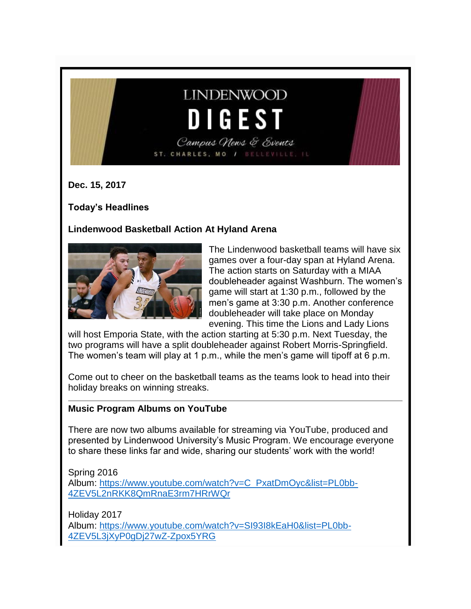# **LINDENWOOD** DIGES' Campus News & Events

ST. CHARLES, MO / BELLEVILLE, IL

**Dec. 15, 2017**

**Today's Headlines**

#### **Lindenwood Basketball Action At Hyland Arena**



The Lindenwood basketball teams will have six games over a four-day span at Hyland Arena. The action starts on Saturday with a MIAA doubleheader against Washburn. The women's game will start at 1:30 p.m., followed by the men's game at 3:30 p.m. Another conference doubleheader will take place on Monday evening. This time the Lions and Lady Lions

will host Emporia State, with the action starting at 5:30 p.m. Next Tuesday, the two programs will have a split doubleheader against Robert Morris-Springfield. The women's team will play at 1 p.m., while the men's game will tipoff at 6 p.m.

Come out to cheer on the basketball teams as the teams look to head into their holiday breaks on winning streaks.

#### **Music Program Albums on YouTube**

There are now two albums available for streaming via YouTube, produced and presented by Lindenwood University's Music Program. We encourage everyone to share these links far and wide, sharing our students' work with the world!

Spring 2016 Album: [https://www.youtube.com/watch?v=C\\_PxatDmOyc&list=PL0bb-](https://www.youtube.com/watch?v=C_PxatDmOyc&list=PL0bb-4ZEV5L2nRKK8QmRnaE3rm7HRrWQr)[4ZEV5L2nRKK8QmRnaE3rm7HRrWQr](https://www.youtube.com/watch?v=C_PxatDmOyc&list=PL0bb-4ZEV5L2nRKK8QmRnaE3rm7HRrWQr)

Holiday 2017 Album: [https://www.youtube.com/watch?v=SI93I8kEaH0&list=PL0bb-](https://www.youtube.com/watch?v=SI93I8kEaH0&list=PL0bb-4ZEV5L3jXyP0gDj27wZ-Zpox5YRG)[4ZEV5L3jXyP0gDj27wZ-Zpox5YRG](https://www.youtube.com/watch?v=SI93I8kEaH0&list=PL0bb-4ZEV5L3jXyP0gDj27wZ-Zpox5YRG)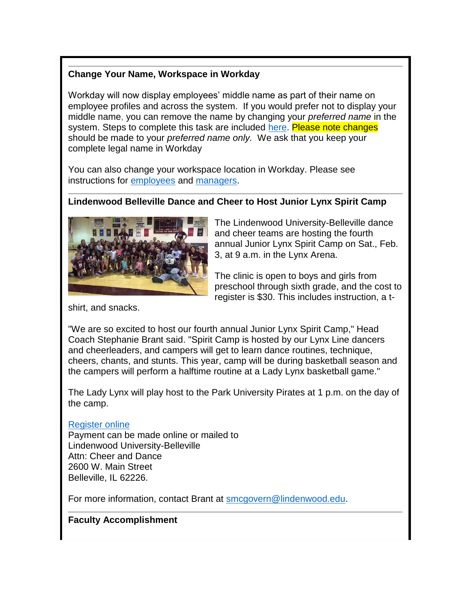#### **Change Your Name, Workspace in Workday**

Workday will now display employees' middle name as part of their name on employee profiles and across the system. If you would prefer not to display your middle name, you can remove the name by changing your *preferred name* in the system. Steps to complete this task are included [here.](http://felix.lindenwood.edu/newsletter/2017_12/preferrednameworkday.pdf) Please note changes should be made to your *preferred name only.* We ask that you keep your complete legal name in Workday

You can also change your workspace location in Workday. Please see instructions for [employees](http://felix.lindenwood.edu/newsletter/2017_12/changemyworkspace.pdf) and [managers.](http://felix.lindenwood.edu/newsletter/2017_12/managerchangemyworkspace.pdf)

#### **Lindenwood Belleville Dance and Cheer to Host Junior Lynx Spirit Camp**



The Lindenwood University-Belleville dance and cheer teams are hosting the fourth annual Junior Lynx Spirit Camp on Sat., Feb. 3, at 9 a.m. in the Lynx Arena.

The clinic is open to boys and girls from preschool through sixth grade, and the cost to register is \$30. This includes instruction, a t-

shirt, and snacks.

"We are so excited to host our fourth annual Junior Lynx Spirit Camp," Head Coach Stephanie Brant said. "Spirit Camp is hosted by our Lynx Line dancers and cheerleaders, and campers will get to learn dance routines, technique, cheers, chants, and stunts. This year, camp will be during basketball season and the campers will perform a halftime routine at a Lady Lynx basketball game."

The Lady Lynx will play host to the Park University Pirates at 1 p.m. on the day of the camp.

#### [Register online](https://register.myonlinecamp.com/camp.cfm?sport=2&id=109428)

Payment can be made online or mailed to Lindenwood University-Belleville Attn: Cheer and Dance 2600 W. Main Street Belleville, IL 62226.

For more information, contact Brant at [smcgovern@lindenwood.edu.](mailto:smcgovern@lindenwood.edu)

#### **Faculty Accomplishment**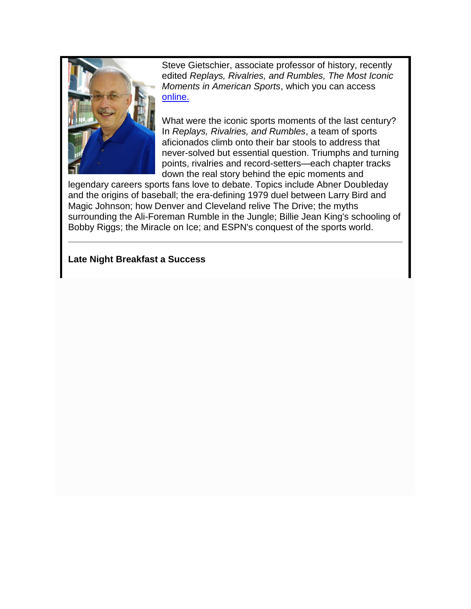

Steve Gietschier, associate professor of history, recently edited *Replays, Rivalries, and Rumbles, The Most Iconic Moments in American Sports*, which you can access [online.](https://www.press.uillinois.edu/books/catalog/57ddk7xx9780252041525.html)

What were the iconic sports moments of the last century? In *Replays, Rivalries, and Rumbles*, a team of sports aficionados climb onto their bar stools to address that never-solved but essential question. Triumphs and turning points, rivalries and record-setters—each chapter tracks down the real story behind the epic moments and

legendary careers sports fans love to debate. Topics include Abner Doubleday and the origins of baseball; the era-defining 1979 duel between Larry Bird and Magic Johnson; how Denver and Cleveland relive The Drive; the myths surrounding the Ali-Foreman Rumble in the Jungle; Billie Jean King's schooling of Bobby Riggs; the Miracle on Ice; and ESPN's conquest of the sports world.

#### **Late Night Breakfast a Success**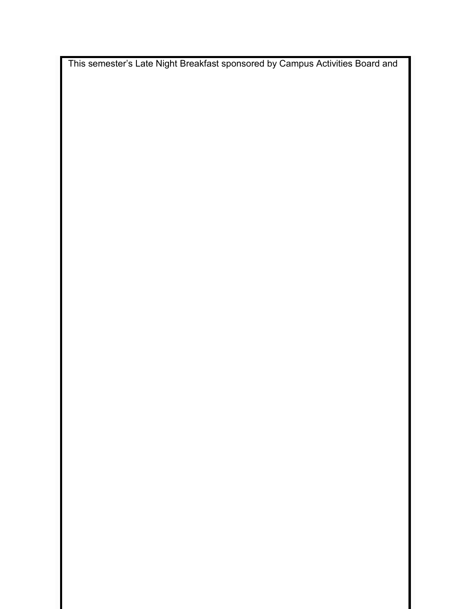This semester's Late Night Breakfast sponsored by Campus Activities Board and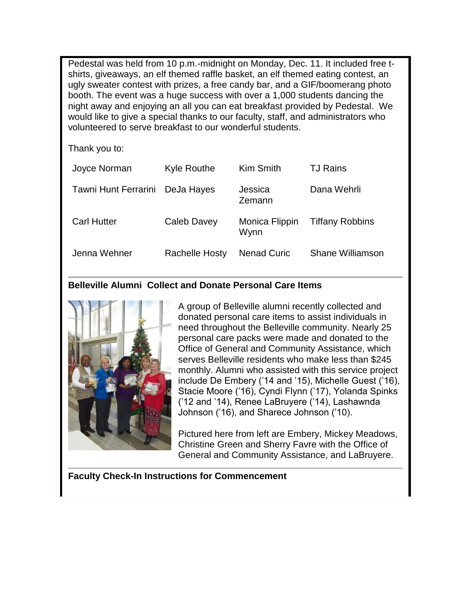Pedestal was held from 10 p.m.-midnight on Monday, Dec. 11. It included free tshirts, giveaways, an elf themed raffle basket, an elf themed eating contest, an ugly sweater contest with prizes, a free candy bar, and a GIF/boomerang photo booth. The event was a huge success with over a 1,000 students dancing the night away and enjoying an all you can eat breakfast provided by Pedestal. We would like to give a special thanks to our faculty, staff, and administrators who volunteered to serve breakfast to our wonderful students.

Thank you to:

| Joyce Norman         | Kyle Routhe           | Kim Smith              | <b>TJ Rains</b>        |
|----------------------|-----------------------|------------------------|------------------------|
| Tawni Hunt Ferrarini | DeJa Hayes            | Jessica<br>Zemann      | Dana Wehrli            |
| <b>Carl Hutter</b>   | Caleb Davey           | Monica Flippin<br>Wynn | <b>Tiffany Robbins</b> |
| Jenna Wehner         | <b>Rachelle Hosty</b> | <b>Nenad Curic</b>     | Shane Williamson       |

#### **Belleville Alumni Collect and Donate Personal Care Items**



A group of Belleville alumni recently collected and donated personal care items to assist individuals in need throughout the Belleville community. Nearly 25 personal care packs were made and donated to the Office of General and Community Assistance, which serves Belleville residents who make less than \$245 monthly. Alumni who assisted with this service project include De Embery ('14 and '15), Michelle Guest ('16), Stacie Moore ('16), Cyndi Flynn ('17), Yolanda Spinks ('12 and '14), Renee LaBruyere ('14), Lashawnda Johnson ('16), and Sharece Johnson ('10).

Pictured here from left are Embery, Mickey Meadows, Christine Green and Sherry Favre with the Office of General and Community Assistance, and LaBruyere.

**Faculty Check-In Instructions for Commencement**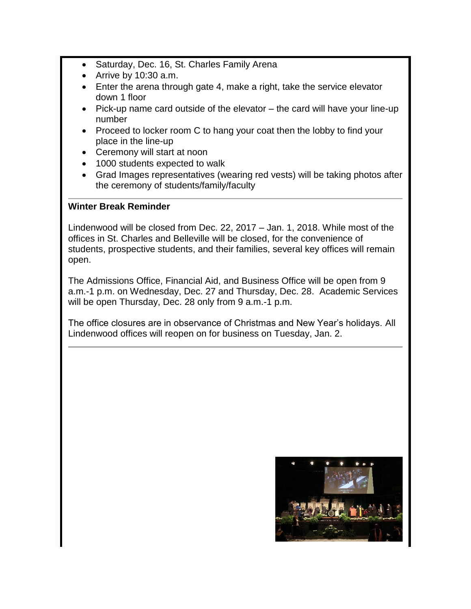- Saturday, Dec. 16, St. Charles Family Arena
- Arrive by 10:30 a.m.
- Enter the arena through gate 4, make a right, take the service elevator down 1 floor
- Pick-up name card outside of the elevator the card will have your line-up number
- Proceed to locker room C to hang your coat then the lobby to find your place in the line-up
- Ceremony will start at noon
- 1000 students expected to walk
- Grad Images representatives (wearing red vests) will be taking photos after the ceremony of students/family/faculty

#### **Winter Break Reminder**

Lindenwood will be closed from Dec. 22, 2017 – Jan. 1, 2018. While most of the offices in St. Charles and Belleville will be closed, for the convenience of students, prospective students, and their families, several key offices will remain open.

The Admissions Office, Financial Aid, and Business Office will be open from 9 a.m.-1 p.m. on Wednesday, Dec. 27 and Thursday, Dec. 28. Academic Services will be open Thursday, Dec. 28 only from 9 a.m.-1 p.m.

The office closures are in observance of Christmas and New Year's holidays. All Lindenwood offices will reopen on for business on Tuesday, Jan. 2.

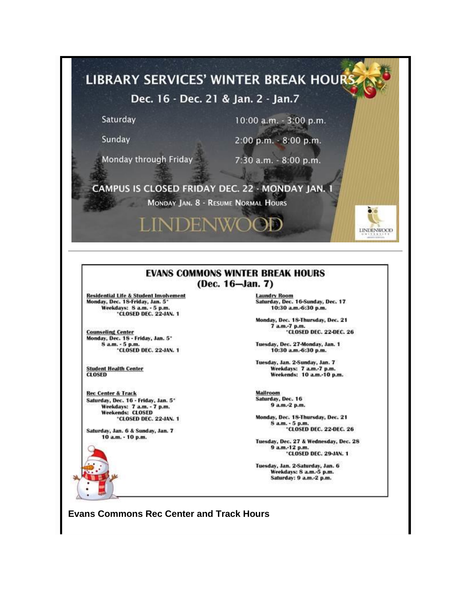

#### **EVANS COMMONS WINTER BREAK HOURS** (Dec. 16-Jan. 7)

**Residential Life & Student Involvement** Monday, Dec. 1S-Friday, Jan. 5\* Weekdays: 8 a.m. - 5 p.m.<br>
"CLOSED DEC. 22-JAN. 1

Counseling Center<br>Monday, Dec. 18 - Friday, Jan. 5\*<br>8 a.m. - 5 p.m.<br>CLOSED DEC. 22-JAN. 1

**Student Health Center CLOSED** 

**Rec Center & Track** Saturday, Dec. 16 - Friday, Jan. 5\* Weekdays: 7 a.m. - 7 p.m.<br>Weekends: CLOSED 'CLOSED DEC. 22-JAN. 1

Saturday, Jan. 6 & Sunday, Jan. 7 10 a.m. - 10 p.m.

**Laundry Room** Saturday, Dec. 16-Sunday, Dec. 17 10:30 a.m.-6:30 p.m.

Monday, Dec. 18-Thursday, Dec. 21 7 a.m.-7 p.m.<br>
"CLOSED DEC. 22-DEC. 26

Tuesday, Dec. 27-Monday, Jan. 1 10:30 a.m.-6:30 p.m.

Tuesday, Jan. 2-Sunday, Jan. 7 Weekdays: 7 a.m.-7 p.m.<br>Weekends: 10 a.m.-10 p.m.

Mailroom Saturday, Dec. 16 9 a.m.-2 p.m.

Monday, Dec. 18-Thursday, Dec. 21 8 a.m. - 5 p.m.<br>
"CLOSED DEC. 22-DEC. 26

Tuesday, Dec. 27 & Wednesday, Dec. 28 9 a.m.-12 p.m.<br>"CLOSED DEC. 29-JAN. 1

Tuesday, Jan. 2-Saturday, Jan. 6 Weekdays: S a.m.-5 p.m. Saturday: 9 a.m.-2 p.m.

**Evans Commons Rec Center and Track Hours**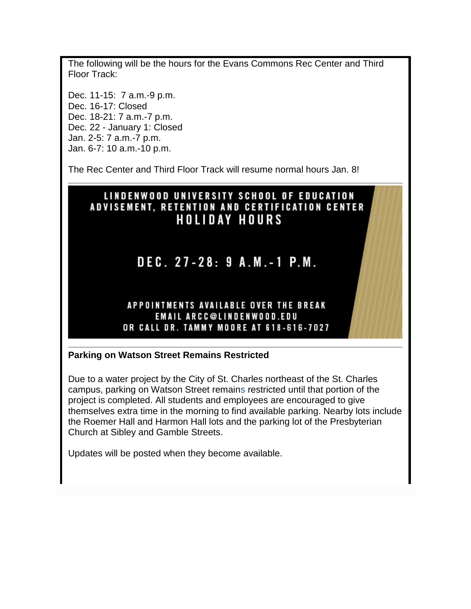The following will be the hours for the Evans Commons Rec Center and Third Floor Track:

Dec. 11-15: 7 a.m.-9 p.m. Dec. 16-17: Closed Dec. 18-21: 7 a.m.-7 p.m. Dec. 22 - January 1: Closed Jan. 2-5: 7 a.m.-7 p.m. Jan. 6-7: 10 a.m.-10 p.m.

The Rec Center and Third Floor Track will resume normal hours Jan. 8!

# LINDENWOOD UNIVERSITY SCHOOL OF EDUCATION ADVISEMENT, RETENTION AND CERTIFICATION CENTER **HOLIDAY HOURS**

# DEC. 27-28: 9 A.M.-1 P.M.

#### **APPOINTMENTS AVAILABLE OVER THE BREAK EMAIL ARCC@LINDENWOOD.EDU** OR CALL DR. TAMMY MOORE AT 618-616-7027

#### **Parking on Watson Street Remains Restricted**

Due to a water project by the City of St. Charles northeast of the St. Charles campus, parking on Watson Street remains restricted until that portion of the project is completed. All students and employees are encouraged to give themselves extra time in the morning to find available parking. Nearby lots include the Roemer Hall and Harmon Hall lots and the parking lot of the Presbyterian Church at Sibley and Gamble Streets.

Updates will be posted when they become available.